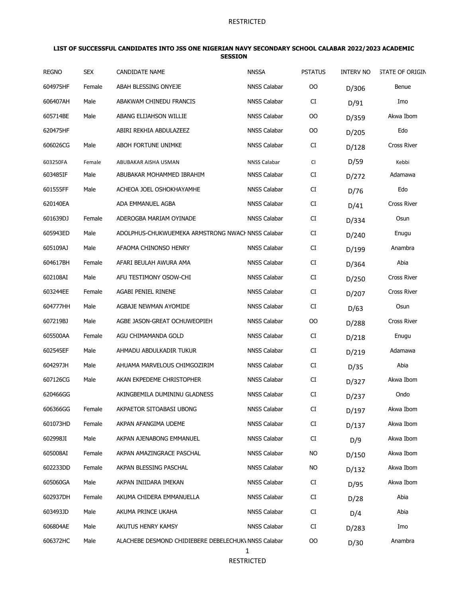#### **LIST OF SUCCESSFUL CANDIDATES INTO JSS ONE NIGERIAN NAVY SECONDARY SCHOOL CALABAR 2022/2023 ACADEMIC SESSION**

| <b>REGNO</b> | <b>SEX</b> | CANDIDATE NAME                                       | <b>NNSSA</b>        | <b>PSTATUS</b> | <b>INTERV NO</b> | <b>STATE OF ORIGIN</b> |
|--------------|------------|------------------------------------------------------|---------------------|----------------|------------------|------------------------|
| 604975HF     | Female     | ABAH BLESSING ONYEJE                                 | <b>NNSS Calabar</b> | OO             | D/306            | Benue                  |
| 606407AH     | Male       | ABAKWAM CHINEDU FRANCIS                              | <b>NNSS Calabar</b> | CI             | D/91             | Imo                    |
| 605714BE     | Male       | ABANG ELIJAHSON WILLIE                               | <b>NNSS Calabar</b> | OO             | D/359            | Akwa Ibom              |
| 620475HF     |            | ABIRI REKHIA ABDULAZEEZ                              | <b>NNSS Calabar</b> | <b>OO</b>      | D/205            | Edo                    |
| 606026CG     | Male       | <b>ABOH FORTUNE UNIMKE</b>                           | <b>NNSS Calabar</b> | CI             | D/128            | Cross River            |
| 603250FA     | Female     | ABUBAKAR AISHA USMAN                                 | NNSS Calabar        | CI             | D/59             | Kebbi                  |
| 603485IF     | Male       | ABUBAKAR MOHAMMED IBRAHIM                            | <b>NNSS Calabar</b> | CI             | D/272            | Adamawa                |
| 601555FF     | Male       | ACHEOA JOEL OSHOKHAYAMHE                             | <b>NNSS Calabar</b> | CI             | D/76             | Edo                    |
| 620140EA     |            | ADA EMMANUEL AGBA                                    | <b>NNSS Calabar</b> | CI             | D/41             | Cross River            |
| 601639DJ     | Female     | ADEROGBA MARIAM OYINADE                              | <b>NNSS Calabar</b> | CI             | D/334            | Osun                   |
| 605943ED     | Male       | ADOLPHUS-CHUKWUEMEKA ARMSTRONG NWACHNNSS Calabar     |                     | CI             | D/240            | Enugu                  |
| 605109AJ     | Male       | AFAOMA CHINONSO HENRY                                | <b>NNSS Calabar</b> | CI             | D/199            | Anambra                |
| 604617BH     | Female     | AFARI BEULAH AWURA AMA                               | <b>NNSS Calabar</b> | CI             | D/364            | Abia                   |
| 602108AI     | Male       | AFU TESTIMONY OSOW-CHI                               | <b>NNSS Calabar</b> | CI             | D/250            | Cross River            |
| 603244EE     | Female     | AGABI PENIEL RINENE                                  | <b>NNSS Calabar</b> | CI             | D/207            | Cross River            |
| 604777HH     | Male       | AGBAJE NEWMAN AYOMIDE                                | <b>NNSS Calabar</b> | CI             | D/63             | Osun                   |
| 607219BJ     | Male       | AGBE JASON-GREAT OCHUWEOPIEH                         | <b>NNSS Calabar</b> | OO             | D/288            | Cross River            |
| 605500AA     | Female     | AGU CHIMAMANDA GOLD                                  | <b>NNSS Calabar</b> | CI             | D/218            | Enugu                  |
| 602545EF     | Male       | AHMADU ABDULKADIR TUKUR                              | <b>NNSS Calabar</b> | CI             | D/219            | Adamawa                |
| 604297JH     | Male       | AHUAMA MARVELOUS CHIMGOZIRIM                         | <b>NNSS Calabar</b> | CI             | D/35             | Abia                   |
| 607126CG     | Male       | AKAN EKPEDEME CHRISTOPHER                            | <b>NNSS Calabar</b> | CI             | D/327            | Akwa Ibom              |
| 620466GG     |            | AKINGBEMILA DUMININU GLADNESS                        | NNSS Calabar        | CI             | D/237            | Ondo                   |
| 606366GG     | Female     | AKPAETOR SITOABASI UBONG                             | <b>NNSS Calabar</b> | CI             | D/197            | Akwa Ibom              |
| 601073HD     | Female     | AKPAN AFANGIMA UDEME                                 | <b>NNSS Calabar</b> | CI             | D/137            | Akwa Ibom              |
| 602998JI     | Male       | AKPAN AJENABONG EMMANUEL                             | <b>NNSS Calabar</b> | CI             | D/9              | Akwa Ibom              |
| 605008AI     | Female     | AKPAN AMAZINGRACE PASCHAL                            | <b>NNSS Calabar</b> | <b>NO</b>      | D/150            | Akwa Ibom              |
| 602233DD     | Female     | AKPAN BLESSING PASCHAL                               | <b>NNSS Calabar</b> | <b>NO</b>      | D/132            | Akwa Ibom              |
| 605060GA     | Male       | AKPAN INIIDARA IMEKAN                                | <b>NNSS Calabar</b> | CI             | D/95             | Akwa Ibom              |
| 602937DH     | Female     | AKUMA CHIDERA EMMANUELLA                             | <b>NNSS Calabar</b> | CI             | D/28             | Abia                   |
| 603493JD     | Male       | AKUMA PRINCE UKAHA                                   | <b>NNSS Calabar</b> | CI             | D/4              | Abia                   |
| 606804AE     | Male       | AKUTUS HENRY KAMSY                                   | <b>NNSS Calabar</b> | CI             | D/283            | Imo                    |
| 606372HC     | Male       | ALACHEBE DESMOND CHIDIEBERE DEBELECHUK\ NNSS Calabar |                     | OO             | D/30             | Anambra                |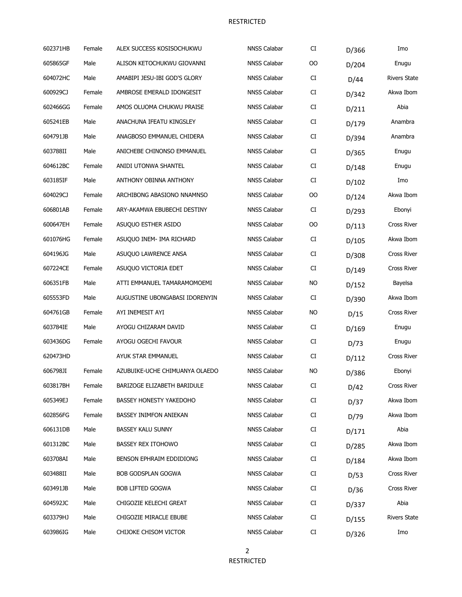| 602371HB | Female | ALEX SUCCESS KOSISOCHUKWU      | <b>NNSS Calabar</b> | CI        | D/366 | Imo                 |
|----------|--------|--------------------------------|---------------------|-----------|-------|---------------------|
| 605865GF | Male   | ALISON KETOCHUKWU GIOVANNI     | <b>NNSS Calabar</b> | OO        | D/204 | Enugu               |
| 604072HC | Male   | AMABIPI JESU-IBI GOD'S GLORY   | <b>NNSS Calabar</b> | CI        | D/44  | <b>Rivers State</b> |
| 600929CJ | Female | AMBROSE EMERALD IDONGESIT      | <b>NNSS Calabar</b> | CI        | D/342 | Akwa Ibom           |
| 602466GG | Female | AMOS OLUOMA CHUKWU PRAISE      | <b>NNSS Calabar</b> | CI        | D/211 | Abia                |
| 605241EB | Male   | ANACHUNA IFEATU KINGSLEY       | <b>NNSS Calabar</b> | CI        | D/179 | Anambra             |
| 604791JB | Male   | ANAGBOSO EMMANUEL CHIDERA      | <b>NNSS Calabar</b> | CI        | D/394 | Anambra             |
| 603788II | Male   | ANICHEBE CHINONSO EMMANUEL     | NNSS Calabar        | CI        | D/365 | Enugu               |
| 604612BC | Female | ANIDI UTONWA SHANTEL           | <b>NNSS Calabar</b> | CI        | D/148 | Enugu               |
| 603185IF | Male   | ANTHONY OBINNA ANTHONY         | NNSS Calabar        | CI        | D/102 | Imo                 |
| 604029CJ | Female | ARCHIBONG ABASIONO NNAMNSO     | <b>NNSS Calabar</b> | OO        | D/124 | Akwa Ibom           |
| 606801AB | Female | ARY-AKAMWA EBUBECHI DESTINY    | NNSS Calabar        | CI        | D/293 | Ebonyi              |
| 600647EH | Female | ASUQUO ESTHER ASIDO            | NNSS Calabar        | OO        | D/113 | Cross River         |
| 601076HG | Female | ASUQUO INEM- IMA RICHARD       | <b>NNSS Calabar</b> | CI        | D/105 | Akwa Ibom           |
| 604196JG | Male   | ASUQUO LAWRENCE ANSA           | <b>NNSS Calabar</b> | CI        | D/308 | <b>Cross River</b>  |
| 607224CE | Female | ASUQUO VICTORIA EDET           | <b>NNSS Calabar</b> | CI        | D/149 | <b>Cross River</b>  |
| 606351FB | Male   | ATTI EMMANUEL TAMARAMOMOEMI    | <b>NNSS Calabar</b> | <b>NO</b> | D/152 | Bayelsa             |
| 605553FD | Male   | AUGUSTINE UBONGABASI IDORENYIN | <b>NNSS Calabar</b> | CI        | D/390 | Akwa Ibom           |
| 604761GB | Female | AYI INEMESIT AYI               | <b>NNSS Calabar</b> | <b>NO</b> | D/15  | <b>Cross River</b>  |
| 603784IE | Male   | AYOGU CHIZARAM DAVID           | <b>NNSS Calabar</b> | CI        | D/169 | Enugu               |
| 603436DG | Female | AYOGU OGECHI FAVOUR            | NNSS Calabar        | CI        | D/73  | Enugu               |
| 620473HD |        | AYUK STAR EMMANUEL             | <b>NNSS Calabar</b> | CI        | D/112 | Cross River         |
| 606798JI | Female | AZUBUIKE-UCHE CHIMUANYA OLAEDO | <b>NNSS Calabar</b> | <b>NO</b> | D/386 | Ebonyi              |
| 603817BH | Female | BARIZOGE ELIZABETH BARIDULE    | <b>NNSS Calabar</b> | CI        | D/42  | Cross River         |
| 605349EJ | Female | <b>BASSEY HONESTY YAKEDOHO</b> | <b>NNSS Calabar</b> | CI        | D/37  | Akwa Ibom           |
| 602856FG | Female | BASSEY INIMFON ANIEKAN         | <b>NNSS Calabar</b> | CI        | D/79  | Akwa Ibom           |
| 606131DB | Male   | <b>BASSEY KALU SUNNY</b>       | <b>NNSS Calabar</b> | CI        | D/171 | Abia                |
| 601312BC | Male   | <b>BASSEY REX ITOHOWO</b>      | <b>NNSS Calabar</b> | CI        | D/285 | Akwa Ibom           |
| 603708AI | Male   | BENSON EPHRAIM EDDIDIONG       | <b>NNSS Calabar</b> | CI        | D/184 | Akwa Ibom           |
| 603488II | Male   | BOB GODSPLAN GOGWA             | <b>NNSS Calabar</b> | CI        | D/53  | Cross River         |
| 603491JB | Male   | <b>BOB LIFTED GOGWA</b>        | <b>NNSS Calabar</b> | CI        | D/36  | Cross River         |
| 604592JC | Male   | CHIGOZIE KELECHI GREAT         | <b>NNSS Calabar</b> | CI        | D/337 | Abia                |
| 603379HJ | Male   | CHIGOZIE MIRACLE EBUBE         | <b>NNSS Calabar</b> | CI        | D/155 | <b>Rivers State</b> |
| 603986IG | Male   | CHIJOKE CHISOM VICTOR          | NNSS Calabar        | CI        | D/326 | Imo                 |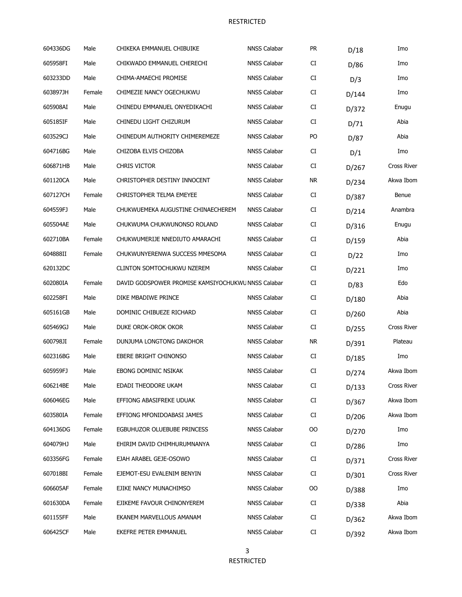| 604336DG | Male   | CHIKEKA EMMANUEL CHIBUIKE                          | <b>NNSS Calabar</b> | PR        | D/18  | Imo                |
|----------|--------|----------------------------------------------------|---------------------|-----------|-------|--------------------|
| 605958FI | Male   | CHIKWADO EMMANUEL CHERECHI                         | <b>NNSS Calabar</b> | CI        | D/86  | Imo                |
| 603233DD | Male   | CHIMA-AMAECHI PROMISE                              | <b>NNSS Calabar</b> | CI        | D/3   | Imo                |
| 603897JH | Female | CHIMEZIE NANCY OGECHUKWU                           | <b>NNSS Calabar</b> | CI        | D/144 | Imo                |
| 605908AI | Male   | CHINEDU EMMANUEL ONYEDIKACHI                       | <b>NNSS Calabar</b> | CI        | D/372 | Enugu              |
| 605185IF | Male   | CHINEDU LIGHT CHIZURUM                             | <b>NNSS Calabar</b> | CI        | D/71  | Abia               |
| 603529CJ | Male   | CHINEDUM AUTHORITY CHIMEREMEZE                     | <b>NNSS Calabar</b> | PO        | D/87  | Abia               |
| 604716BG | Male   | CHIZOBA ELVIS CHIZOBA                              | <b>NNSS Calabar</b> | CI        | D/1   | Imo                |
| 606871HB | Male   | CHRIS VICTOR                                       | <b>NNSS Calabar</b> | CI        | D/267 | Cross River        |
| 601120CA | Male   | CHRISTOPHER DESTINY INNOCENT                       | <b>NNSS Calabar</b> | <b>NR</b> | D/234 | Akwa Ibom          |
| 607127CH | Female | CHRISTOPHER TELMA EMEYEE                           | <b>NNSS Calabar</b> | CI        | D/387 | Benue              |
| 604559FJ | Male   | CHUKWUEMEKA AUGUSTINE CHINAECHEREM                 | <b>NNSS Calabar</b> | CI        | D/214 | Anambra            |
| 605504AE | Male   | CHUKWUMA CHUKWUNONSO ROLAND                        | <b>NNSS Calabar</b> | CI        | D/316 | Enugu              |
| 602710BA | Female | CHUKWUMERIJE NNEDIUTO AMARACHI                     | <b>NNSS Calabar</b> | CI        | D/159 | Abia               |
| 604888II | Female | CHUKWUNYERENWA SUCCESS MMESOMA                     | <b>NNSS Calabar</b> | CI        | D/22  | Imo                |
| 620132DC |        | CLINTON SOMTOCHUKWU NZEREM                         | <b>NNSS Calabar</b> | CI        | D/221 | Imo                |
| 602080IA | Female | DAVID GODSPOWER PROMISE KAMSIYOCHUKWU NNSS Calabar |                     | CI        | D/83  | Edo                |
| 602258FI | Male   | DIKE MBADIWE PRINCE                                | <b>NNSS Calabar</b> | CI        | D/180 | Abia               |
| 605161GB | Male   | DOMINIC CHIBUEZE RICHARD                           | <b>NNSS Calabar</b> | CI        | D/260 | Abia               |
| 605469GJ | Male   | DUKE OROK-OROK OKOR                                | <b>NNSS Calabar</b> | CI        | D/255 | <b>Cross River</b> |
| 600798JI | Female | DUNJUMA LONGTONG DAKOHOR                           | <b>NNSS Calabar</b> | <b>NR</b> | D/391 | Plateau            |
| 602316BG | Male   | <b>EBERE BRIGHT CHINONSO</b>                       | <b>NNSS Calabar</b> | CI        | D/185 | Imo                |
| 605959FJ | Male   | EBONG DOMINIC NSIKAK                               | <b>NNSS Calabar</b> | CI        | D/274 | Akwa Ibom          |
| 606214BE | Male   | EDADI THEODORE UKAM                                | <b>NNSS Calabar</b> | CI        | D/133 | Cross River        |
| 606046EG | Male   | EFFIONG ABASIFREKE UDUAK                           | NNSS Calabar        | CI        | D/367 | Akwa Ibom          |
| 603580IA | Female | EFFIONG MFONIDOABASI JAMES                         | NNSS Calabar        | CI        | D/206 | Akwa Ibom          |
| 604136DG | Female | EGBUHUZOR OLUEBUBE PRINCESS                        | <b>NNSS Calabar</b> | OO        | D/270 | Imo                |
| 604079HJ | Male   | EHIRIM DAVID CHIMHURUMNANYA                        | <b>NNSS Calabar</b> | CI        | D/286 | Imo                |
| 603356FG | Female | EJAH ARABEL GEJE-OSOWO                             | <b>NNSS Calabar</b> | CI        | D/371 | Cross River        |
| 607018BI | Female | EJEMOT-ESU EVALENIM BENYIN                         | <b>NNSS Calabar</b> | CI        | D/301 | Cross River        |
| 606605AF | Female | EJIKE NANCY MUNACHIMSO                             | <b>NNSS Calabar</b> | OO        | D/388 | Imo                |
| 601630DA | Female | EJIKEME FAVOUR CHINONYEREM                         | <b>NNSS Calabar</b> | CI        | D/338 | Abia               |
| 601155FF | Male   | EKANEM MARVELLOUS AMANAM                           | <b>NNSS Calabar</b> | CI        | D/362 | Akwa Ibom          |
| 606425CF | Male   | EKEFRE PETER EMMANUEL                              | NNSS Calabar        | CI        | D/392 | Akwa Ibom          |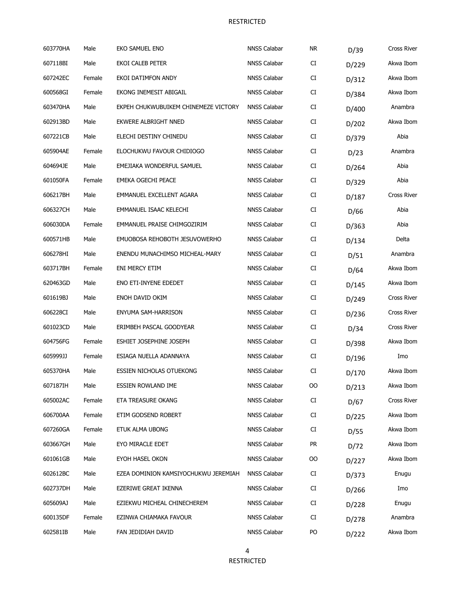| 603770HA | Male   | EKO SAMUEL ENO                       | <b>NNSS Calabar</b> | <b>NR</b>  | D/39  | Cross River        |
|----------|--------|--------------------------------------|---------------------|------------|-------|--------------------|
| 607118BI | Male   | EKOI CALEB PETER                     | <b>NNSS Calabar</b> | CI         | D/229 | Akwa Ibom          |
| 607242EC | Female | EKOI DATIMFON ANDY                   | <b>NNSS Calabar</b> | CI         | D/312 | Akwa Ibom          |
| 600568GI | Female | EKONG INEMESIT ABIGAIL               | <b>NNSS Calabar</b> | CI         | D/384 | Akwa Ibom          |
| 603470HA | Male   | EKPEH CHUKWUBUIKEM CHINEMEZE VICTORY | <b>NNSS Calabar</b> | CI         | D/400 | Anambra            |
| 602913BD | Male   | EKWERE ALBRIGHT NNED                 | <b>NNSS Calabar</b> | CI         | D/202 | Akwa Ibom          |
| 607221CB | Male   | ELECHI DESTINY CHINEDU               | <b>NNSS Calabar</b> | CI         | D/379 | Abia               |
| 605904AE | Female | ELOCHUKWU FAVOUR CHIDIOGO            | <b>NNSS Calabar</b> | CI         | D/23  | Anambra            |
| 604694JE | Male   | EMEJIAKA WONDERFUL SAMUEL            | <b>NNSS Calabar</b> | CI         | D/264 | Abia               |
| 601050FA | Female | EMEKA OGECHI PEACE                   | <b>NNSS Calabar</b> | CI         | D/329 | Abia               |
| 606217BH | Male   | EMMANUEL EXCELLENT AGARA             | <b>NNSS Calabar</b> | CI         | D/187 | Cross River        |
| 606327CH | Male   | EMMANUEL ISAAC KELECHI               | <b>NNSS Calabar</b> | CI         | D/66  | Abia               |
| 606030DA | Female | EMMANUEL PRAISE CHIMGOZIRIM          | <b>NNSS Calabar</b> | CI         | D/363 | Abia               |
| 600571HB | Male   | EMUOBOSA REHOBOTH JESUVOWERHO        | <b>NNSS Calabar</b> | CI         | D/134 | Delta              |
| 606278HI | Male   | ENENDU MUNACHIMSO MICHEAL-MARY       | <b>NNSS Calabar</b> | CI         | D/51  | Anambra            |
| 603717BH | Female | ENI MERCY ETIM                       | <b>NNSS Calabar</b> | CI         | D/64  | Akwa Ibom          |
| 620463GD | Male   | ENO ETI-INYENE EDEDET                | <b>NNSS Calabar</b> | CI         | D/145 | Akwa Ibom          |
| 601619BJ | Male   | ENOH DAVID OKIM                      | <b>NNSS Calabar</b> | CI         | D/249 | Cross River        |
| 606228CI | Male   | ENYUMA SAM-HARRISON                  | <b>NNSS Calabar</b> | CI         | D/236 | Cross River        |
| 601023CD | Male   | ERIMBEH PASCAL GOODYEAR              | <b>NNSS Calabar</b> | CI         | D/34  | <b>Cross River</b> |
| 604756FG | Female | ESHIET JOSEPHINE JOSEPH              | <b>NNSS Calabar</b> | CI         | D/398 | Akwa Ibom          |
| 605999JJ | Female | ESIAGA NUELLA ADANNAYA               | <b>NNSS Calabar</b> | CI         | D/196 | Imo                |
| 605370HA | Male   | <b>ESSIEN NICHOLAS OTUEKONG</b>      | <b>NNSS Calabar</b> | ${\rm CI}$ | D/170 | Akwa Ibom          |
| 607187IH | Male   | <b>ESSIEN ROWLAND IME</b>            | <b>NNSS Calabar</b> | OO         | D/213 | Akwa Ibom          |
| 605002AC | Female | ETA TREASURE OKANG                   | <b>NNSS Calabar</b> | CI         | D/67  | <b>Cross River</b> |
| 606700AA | Female | ETIM GODSEND ROBERT                  | <b>NNSS Calabar</b> | CI         | D/225 | Akwa Ibom          |
| 607260GA | Female | ETUK ALMA UBONG                      | <b>NNSS Calabar</b> | CI         | D/55  | Akwa Ibom          |
| 603667GH | Male   | EYO MIRACLE EDET                     | <b>NNSS Calabar</b> | <b>PR</b>  | D/72  | Akwa Ibom          |
| 601061GB | Male   | EYOH HASEL OKON                      | <b>NNSS Calabar</b> | OO         | D/227 | Akwa Ibom          |
| 602612BC | Male   | EZEA DOMINION KAMSIYOCHUKWU JEREMIAH | <b>NNSS Calabar</b> | CI         | D/373 | Enugu              |
| 602737DH | Male   | EZERIWE GREAT IKENNA                 | <b>NNSS Calabar</b> | CI         | D/266 | Imo                |
| 605609AJ | Male   | EZIEKWU MICHEAL CHINECHEREM          | <b>NNSS Calabar</b> | CI         | D/228 | Enugu              |
| 600135DF | Female | EZINWA CHIAMAKA FAVOUR               | <b>NNSS Calabar</b> | CI         | D/278 | Anambra            |
| 602581IB | Male   | FAN JEDIDIAH DAVID                   | NNSS Calabar        | PO         | D/222 | Akwa Ibom          |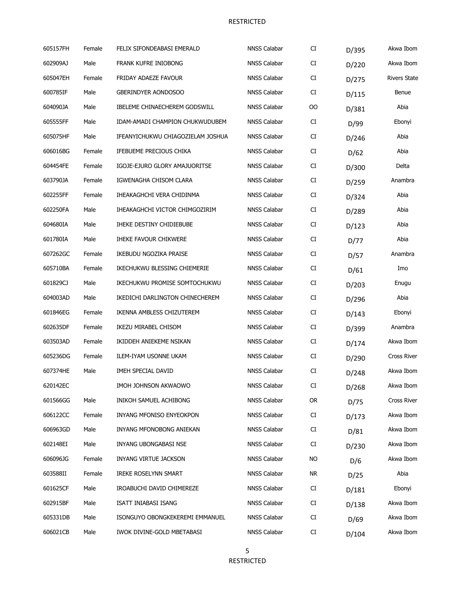| 605157FH | Female | FELIX SIFONDEABASI EMERALD        | <b>NNSS Calabar</b> | CI        | D/395 | Akwa Ibom           |
|----------|--------|-----------------------------------|---------------------|-----------|-------|---------------------|
| 602909AJ | Male   | FRANK KUFRE INIOBONG              | <b>NNSS Calabar</b> | CI        | D/220 | Akwa Ibom           |
| 605047EH | Female | FRIDAY ADAEZE FAVOUR              | <b>NNSS Calabar</b> | CI        | D/275 | <b>Rivers State</b> |
| 600785IF | Male   | GBERINDYER AONDOSOO               | <b>NNSS Calabar</b> | CI        | D/115 | Benue               |
| 604090JA | Male   | IBELEME CHINAECHEREM GODSWILL     | <b>NNSS Calabar</b> | OO        | D/381 | Abia                |
| 605555FF | Male   | IDAM-AMADI CHAMPION CHUKWUDUBEM   | <b>NNSS Calabar</b> | CI        | D/99  | Ebonyi              |
| 605075HF | Male   | IFEANYICHUKWU CHIAGOZIELAM JOSHUA | <b>NNSS Calabar</b> | CI        | D/246 | Abia                |
| 606016BG | Female | IFEBUEME PRECIOUS CHIKA           | <b>NNSS Calabar</b> | CI        | D/62  | Abia                |
| 604454FE | Female | IGOJE-EJURO GLORY AMAJUORITSE     | <b>NNSS Calabar</b> | CI        | D/300 | Delta               |
| 603790JA | Female | IGWENAGHA CHISOM CLARA            | <b>NNSS Calabar</b> | CI        | D/259 | Anambra             |
| 602255FF | Female | IHEAKAGHCHI VERA CHIDINMA         | <b>NNSS Calabar</b> | CI        | D/324 | Abia                |
| 602250FA | Male   | IHEAKAGHCHI VICTOR CHIMGOZIRIM    | <b>NNSS Calabar</b> | CI        | D/289 | Abia                |
| 604680IA | Male   | IHEKE DESTINY CHIDIEBUBE          | <b>NNSS Calabar</b> | CI        | D/123 | Abia                |
| 601780IA | Male   | <b>IHEKE FAVOUR CHIKWERE</b>      | <b>NNSS Calabar</b> | CI        | D/77  | Abia                |
| 607262GC | Female | IKEBUDU NGOZIKA PRAISE            | <b>NNSS Calabar</b> | CI        | D/57  | Anambra             |
| 605710BA | Female | IKECHUKWU BLESSING CHIEMERIE      | <b>NNSS Calabar</b> | CI        | D/61  | Imo                 |
| 601829CJ | Male   | IKECHUKWU PROMISE SOMTOCHUKWU     | <b>NNSS Calabar</b> | CI        | D/203 | Enugu               |
| 604003AD | Male   | IKEDICHI DARLINGTON CHINECHEREM   | NNSS Calabar        | CI        | D/296 | Abia                |
| 601846EG | Female | IKENNA AMBLESS CHIZUTEREM         | <b>NNSS Calabar</b> | CI        | D/143 | Ebonyi              |
| 602635DF | Female | IKEZU MIRABEL CHISOM              | <b>NNSS Calabar</b> | CI        | D/399 | Anambra             |
| 603503AD | Female | IKIDDEH ANIEKEME NSIKAN           | <b>NNSS Calabar</b> | CI        | D/174 | Akwa Ibom           |
| 605236DG | Female | ILEM-IYAM USONNE UKAM             | <b>NNSS Calabar</b> | CI        | D/290 | Cross River         |
| 607374HE | Male   | IMEH SPECIAL DAVID                | <b>NNSS Calabar</b> | CI        | D/248 | Akwa Ibom           |
| 620142EC |        | IMOH JOHNSON AKWAOWO              | <b>NNSS Calabar</b> | CI        | D/268 | Akwa Ibom           |
| 601566GG | Male   | INIKOH SAMUEL ACHIBONG            | <b>NNSS Calabar</b> | <b>OR</b> | D/75  | Cross River         |
| 606122CC | Female | INYANG MFONISO ENYEOKPON          | <b>NNSS Calabar</b> | CI        | D/173 | Akwa Ibom           |
| 606963GD | Male   | INYANG MFONOBONG ANIEKAN          | <b>NNSS Calabar</b> | CI        | D/81  | Akwa Ibom           |
| 602148EI | Male   | INYANG UBONGABASI NSE             | <b>NNSS Calabar</b> | CI        | D/230 | Akwa Ibom           |
| 606096JG | Female | <b>INYANG VIRTUE JACKSON</b>      | <b>NNSS Calabar</b> | <b>NO</b> | D/6   | Akwa Ibom           |
| 603588II | Female | <b>IREKE ROSELYNN SMART</b>       | <b>NNSS Calabar</b> | <b>NR</b> | D/25  | Abia                |
| 601625CF | Male   | IROABUCHI DAVID CHIMEREZE         | <b>NNSS Calabar</b> | CI        | D/181 | Ebonyi              |
| 602915BF | Male   | ISATT INIABASI ISANG              | <b>NNSS Calabar</b> | CI        | D/138 | Akwa Ibom           |
| 605331DB | Male   | ISONGUYO OBONGKEKEREMI EMMANUEL   | <b>NNSS Calabar</b> | CI        | D/69  | Akwa Ibom           |
| 606021CB | Male   | IWOK DIVINE-GOLD MBETABASI        | NNSS Calabar        | CI        | D/104 | Akwa Ibom           |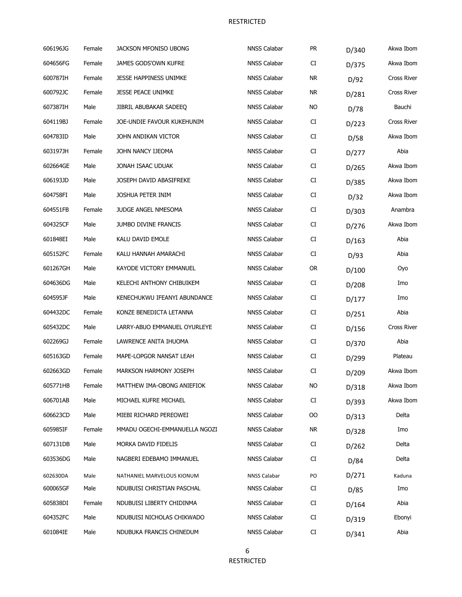| 606196JG | Female | JACKSON MFONISO UBONG         | <b>NNSS Calabar</b> | PR         | D/340 | Akwa Ibom   |
|----------|--------|-------------------------------|---------------------|------------|-------|-------------|
| 604656FG | Female | JAMES GODS'OWN KUFRE          | <b>NNSS Calabar</b> | CI         | D/375 | Akwa Ibom   |
| 600787IH | Female | JESSE HAPPINESS UNIMKE        | <b>NNSS Calabar</b> | <b>NR</b>  | D/92  | Cross River |
| 600792JC | Female | <b>JESSE PEACE UNIMKE</b>     | <b>NNSS Calabar</b> | NR.        | D/281 | Cross River |
| 607387IH | Male   | JIBRIL ABUBAKAR SADEEQ        | <b>NNSS Calabar</b> | <b>NO</b>  | D/78  | Bauchi      |
| 604119BJ | Female | JOE-UNDIE FAVOUR KUKEHUNIM    | <b>NNSS Calabar</b> | CI         | D/223 | Cross River |
| 604783ID | Male   | JOHN ANDIKAN VICTOR           | <b>NNSS Calabar</b> | CI         | D/58  | Akwa Ibom   |
| 603197JH | Female | JOHN NANCY IJEOMA             | <b>NNSS Calabar</b> | CI         | D/277 | Abia        |
| 602664GE | Male   | JONAH ISAAC UDUAK             | <b>NNSS Calabar</b> | CI         | D/265 | Akwa Ibom   |
| 606193JD | Male   | JOSEPH DAVID ABASIFREKE       | <b>NNSS Calabar</b> | CI         | D/385 | Akwa Ibom   |
| 604758FI | Male   | JOSHUA PETER INIM             | <b>NNSS Calabar</b> | CI         | D/32  | Akwa Ibom   |
| 604551FB | Female | <b>JUDGE ANGEL NMESOMA</b>    | <b>NNSS Calabar</b> | CI         | D/303 | Anambra     |
| 604325CF | Male   | JUMBO DIVINE FRANCIS          | <b>NNSS Calabar</b> | CI         | D/276 | Akwa Ibom   |
| 601848EI | Male   | KALU DAVID EMOLE              | <b>NNSS Calabar</b> | CI         | D/163 | Abia        |
| 605152FC | Female | KALU HANNAH AMARACHI          | <b>NNSS Calabar</b> | CI         | D/93  | Abia        |
| 601267GH | Male   | KAYODE VICTORY EMMANUEL       | <b>NNSS Calabar</b> | <b>OR</b>  | D/100 | Oyo         |
| 604636DG | Male   | KELECHI ANTHONY CHIBUIKEM     | <b>NNSS Calabar</b> | CI         | D/208 | Imo         |
| 604595JF | Male   | KENECHUKWU IFEANYI ABUNDANCE  | <b>NNSS Calabar</b> | CI         | D/177 | Imo         |
| 604432DC | Female | KONZE BENEDICTA LETANNA       | <b>NNSS Calabar</b> | ${\rm CI}$ | D/251 | Abia        |
| 605432DC | Male   | LARRY-ABUO EMMANUEL OYURLEYE  | <b>NNSS Calabar</b> | CI         | D/156 | Cross River |
| 602269GJ | Female | LAWRENCE ANITA IHUOMA         | <b>NNSS Calabar</b> | CI         | D/370 | Abia        |
| 605163GD | Female | MAPE-LOPGOR NANSAT LEAH       | <b>NNSS Calabar</b> | CI         | D/299 | Plateau     |
| 602663GD | Female | <b>MARKSON HARMONY JOSEPH</b> | <b>NNSS Calabar</b> | ${\rm CI}$ | D/209 | Akwa Ibom   |
| 605771HB | Female | MATTHEW IMA-OBONG ANIEFIOK    | <b>NNSS Calabar</b> | <b>NO</b>  | D/318 | Akwa Ibom   |
| 606701AB | Male   | MICHAEL KUFRE MICHAEL         | <b>NNSS Calabar</b> | CI         | D/393 | Akwa Ibom   |
| 606623CD | Male   | MIEBI RICHARD PEREOWEI        | <b>NNSS Calabar</b> | OO         | D/313 | Delta       |
| 605985IF | Female | MMADU OGECHI-EMMANUELLA NGOZI | <b>NNSS Calabar</b> | <b>NR</b>  | D/328 | Imo         |
| 607131DB | Male   | MORKA DAVID FIDELIS           | <b>NNSS Calabar</b> | CI         | D/262 | Delta       |
| 603536DG | Male   | NAGBERI EDEBAMO IMMANUEL      | <b>NNSS Calabar</b> | CI         | D/84  | Delta       |
| 602630DA | Male   | NATHANIEL MARVELOUS KIONUM    | <b>NNSS Calabar</b> | PO         | D/271 | Kaduna      |
| 600065GF | Male   | NDUBUISI CHRISTIAN PASCHAL    | <b>NNSS Calabar</b> | CI         | D/85  | Imo         |
| 605838DI | Female | NDUBUISI LIBERTY CHIDINMA     | <b>NNSS Calabar</b> | CI         | D/164 | Abia        |
| 604352FC | Male   | NDUBUISI NICHOLAS CHIKWADO    | <b>NNSS Calabar</b> | CI         | D/319 | Ebonyi      |
| 601084IE | Male   | NDUBUKA FRANCIS CHINEDUM      | <b>NNSS Calabar</b> | CI         | D/341 | Abia        |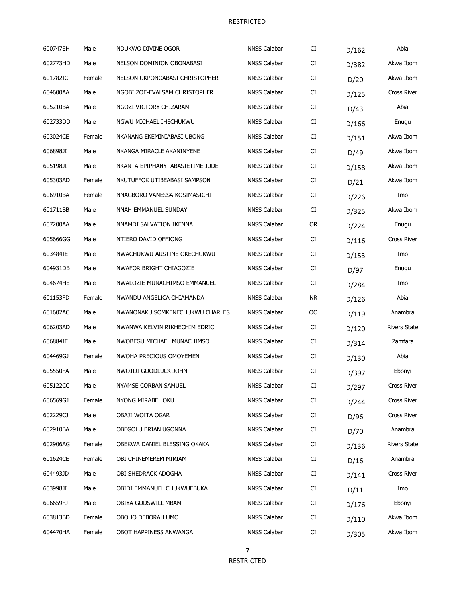| 600747EH | Male   | NDUKWO DIVINE OGOR              | <b>NNSS Calabar</b> | CI        | D/162 | Abia                |
|----------|--------|---------------------------------|---------------------|-----------|-------|---------------------|
| 602773HD | Male   | NELSON DOMINION OBONABASI       | <b>NNSS Calabar</b> | CI        | D/382 | Akwa Ibom           |
| 601782IC | Female | NELSON UKPONOABASI CHRISTOPHER  | <b>NNSS Calabar</b> | CI        | D/20  | Akwa Ibom           |
| 604600AA | Male   | NGOBI ZOE-EVALSAM CHRISTOPHER   | <b>NNSS Calabar</b> | CI        | D/125 | <b>Cross River</b>  |
| 605210BA | Male   | NGOZI VICTORY CHIZARAM          | <b>NNSS Calabar</b> | CI        | D/43  | Abia                |
| 602733DD | Male   | NGWU MICHAEL IHECHUKWU          | <b>NNSS Calabar</b> | CI        | D/166 | Enugu               |
| 603024CE | Female | NKANANG EKEMINIABASI UBONG      | <b>NNSS Calabar</b> | CI        | D/151 | Akwa Ibom           |
| 606898JI | Male   | NKANGA MIRACLE AKANINYENE       | <b>NNSS Calabar</b> | CI        | D/49  | Akwa Ibom           |
| 605198JI | Male   | NKANTA EPIPHANY ABASIETIME JUDE | <b>NNSS Calabar</b> | CI        | D/158 | Akwa Ibom           |
| 605303AD | Female | NKUTUFFOK UTIBEABASI SAMPSON    | <b>NNSS Calabar</b> | CI        | D/21  | Akwa Ibom           |
| 606910BA | Female | NNAGBORO VANESSA KOSIMASICHI    | <b>NNSS Calabar</b> | CI        | D/226 | Imo                 |
| 601711BB | Male   | NNAH EMMANUEL SUNDAY            | <b>NNSS Calabar</b> | CI        | D/325 | Akwa Ibom           |
| 607200AA | Male   | NNAMDI SALVATION IKENNA         | <b>NNSS Calabar</b> | <b>OR</b> | D/224 | Enugu               |
| 605666GG | Male   | NTIERO DAVID OFFIONG            | <b>NNSS Calabar</b> | CI        | D/116 | <b>Cross River</b>  |
| 603484IE | Male   | NWACHUKWU AUSTINE OKECHUKWU     | <b>NNSS Calabar</b> | CI        | D/153 | Imo                 |
| 604931DB | Male   | NWAFOR BRIGHT CHIAGOZIE         | <b>NNSS Calabar</b> | CI        | D/97  | Enugu               |
| 604674HE | Male   | NWALOZIE MUNACHIMSO EMMANUEL    | <b>NNSS Calabar</b> | CI        | D/284 | Imo                 |
| 601153FD | Female | NWANDU ANGELICA CHIAMANDA       | <b>NNSS Calabar</b> | <b>NR</b> | D/126 | Abia                |
| 601602AC | Male   | NWANONAKU SOMKENECHUKWU CHARLES | <b>NNSS Calabar</b> | <b>OO</b> | D/119 | Anambra             |
| 606203AD | Male   | NWANWA KELVIN RIKHECHIM EDRIC   | <b>NNSS Calabar</b> | CI        | D/120 | <b>Rivers State</b> |
| 606884IE | Male   | NWOBEGU MICHAEL MUNACHIMSO      | <b>NNSS Calabar</b> | CI        | D/314 | Zamfara             |
| 604469GJ | Female | NWOHA PRECIOUS OMOYEMEN         | <b>NNSS Calabar</b> | CI        | D/130 | Abia                |
| 605550FA | Male   | NWOJIJI GOODLUCK JOHN           | <b>NNSS Calabar</b> | CI        | D/397 | Ebonyi              |
| 605122CC | Male   | NYAMSE CORBAN SAMUEL            | <b>NNSS Calabar</b> | CI        | D/297 | Cross River         |
| 606569GJ | Female | NYONG MIRABEL OKU               | <b>NNSS Calabar</b> | CI        | D/244 | Cross River         |
| 602229CJ | Male   | OBAJI WOITA OGAR                | <b>NNSS Calabar</b> | CI        | D/96  | Cross River         |
| 602910BA | Male   | OBEGOLU BRIAN UGONNA            | <b>NNSS Calabar</b> | CI        | D/70  | Anambra             |
| 602906AG | Female | OBEKWA DANIEL BLESSING OKAKA    | <b>NNSS Calabar</b> | CI        | D/136 | <b>Rivers State</b> |
| 601624CE | Female | OBI CHINEMEREM MIRIAM           | <b>NNSS Calabar</b> | CI        | D/16  | Anambra             |
| 604493JD | Male   | OBI SHEDRACK ADOGHA             | <b>NNSS Calabar</b> | CI        | D/141 | Cross River         |
| 603998JI | Male   | OBIDI EMMANUEL CHUKWUEBUKA      | <b>NNSS Calabar</b> | CI        | D/11  | Imo                 |
| 606659FJ | Male   | OBIYA GODSWILL MBAM             | <b>NNSS Calabar</b> | CI        | D/176 | Ebonyi              |
| 603813BD | Female | OBOHO DEBORAH UMO               | <b>NNSS Calabar</b> | CI        | D/110 | Akwa Ibom           |
| 604470HA | Female | OBOT HAPPINESS ANWANGA          | NNSS Calabar        | CI        | D/305 | Akwa Ibom           |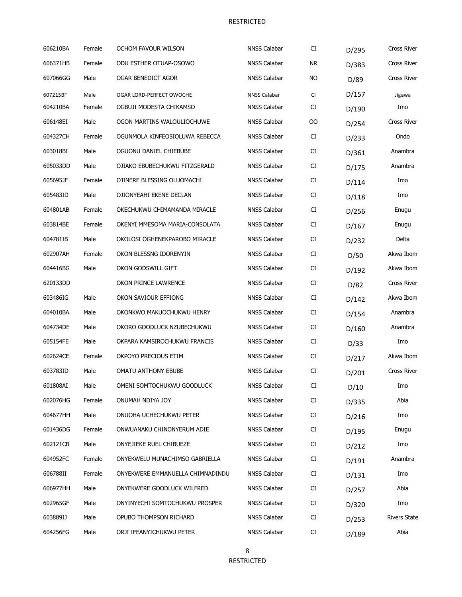| 606210BA | Female | OCHOM FAVOUR WILSON              | <b>NNSS Calabar</b> | CI         | D/295 | <b>Cross River</b>  |
|----------|--------|----------------------------------|---------------------|------------|-------|---------------------|
| 606371HB | Female | ODU ESTHER OTUAP-OSOWO           | <b>NNSS Calabar</b> | <b>NR</b>  | D/383 | Cross River         |
| 607066GG | Male   | OGAR BENEDICT AGOR               | <b>NNSS Calabar</b> | NO.        | D/89  | Cross River         |
| 607215BF | Male   | OGAR LORD-PERFECT OWOCHE         | <b>NNSS Calabar</b> | CI         | D/157 | Jigawa              |
| 604210BA | Female | OGBUJI MODESTA CHIKAMSO          | <b>NNSS Calabar</b> | CI         | D/190 | Imo                 |
| 606148EI | Male   | OGON MARTINS WALOULIOCHUWE       | NNSS Calabar        | <b>OO</b>  | D/254 | Cross River         |
| 604327CH | Female | OGUNMOLA KINFEOSIOLUWA REBECCA   | <b>NNSS Calabar</b> | CI         | D/233 | Ondo                |
| 603018BI | Male   | OGUONU DANIEL CHIEBUBE           | <b>NNSS Calabar</b> | CI         | D/361 | Anambra             |
| 605033DD | Male   | OJIAKO EBUBECHUKWU FITZGERALD    | <b>NNSS Calabar</b> | CI         | D/175 | Anambra             |
| 605695JF | Female | OJINERE BLESSING OLUOMACHI       | <b>NNSS Calabar</b> | CI         | D/114 | Imo                 |
| 605483ID | Male   | OJIONYEAHI EKENE DECLAN          | <b>NNSS Calabar</b> | CI         | D/118 | Imo                 |
| 604801AB | Female | OKECHUKWU CHIMAMANDA MIRACLE     | <b>NNSS Calabar</b> | CI         | D/256 | Enugu               |
| 603814BE | Female | OKENYI MMESOMA MARIA-CONSOLATA   | <b>NNSS Calabar</b> | CI         | D/167 | Enugu               |
| 604781IB | Male   | OKOLOSI OGHENEKPAROBO MIRACLE    | <b>NNSS Calabar</b> | CI         | D/232 | Delta               |
| 602907AH | Female | OKON BLESSNG IDORENYIN           | <b>NNSS Calabar</b> | CI         | D/50  | Akwa Ibom           |
| 604416BG | Male   | OKON GODSWILL GIFT               | <b>NNSS Calabar</b> | CI         | D/192 | Akwa Ibom           |
| 620133DD |        | OKON PRINCE LAWRENCE             | <b>NNSS Calabar</b> | CI         | D/82  | <b>Cross River</b>  |
| 603486IG | Male   | OKON SAVIOUR EFFIONG             | <b>NNSS Calabar</b> | CI         | D/142 | Akwa Ibom           |
| 604010BA | Male   | OKONKWO MAKUOCHUKWU HENRY        | <b>NNSS Calabar</b> | CI         | D/154 | Anambra             |
| 604734DE | Male   | OKORO GOODLUCK NZUBECHUKWU       | <b>NNSS Calabar</b> | CI         | D/160 | Anambra             |
| 605154FE | Male   | OKPARA KAMSIROCHUKWU FRANCIS     | <b>NNSS Calabar</b> | CI         | D/33  | Imo                 |
| 602624CE | Female | OKPOYO PRECIOUS ETIM             | <b>NNSS Calabar</b> | ${\rm CI}$ | D/217 | Akwa Ibom           |
| 603783ID | Male   | OMATU ANTHONY EBUBE              | <b>NNSS Calabar</b> | CI         | D/201 | <b>Cross River</b>  |
| 601808AI | Male   | OMENI SOMTOCHUKWU GOODLUCK       | <b>NNSS Calabar</b> | CI         | D/10  | Imo                 |
| 602076HG | Female | ONUMAH NDIYA JOY                 | NNSS Calabar        | CI         | D/335 | Abia                |
| 604677HH | Male   | ONUOHA UCHECHUKWU PETER          | <b>NNSS Calabar</b> | CI         | D/216 | Imo                 |
| 601436DG | Female | ONWUANAKU CHINONYERUM ADIE       | <b>NNSS Calabar</b> | CI         | D/195 | Enugu               |
| 602121CB | Male   | ONYEJIEKE RUEL CHIBUEZE          | <b>NNSS Calabar</b> | CI         | D/212 | Imo                 |
| 604952FC | Female | ONYEKWELU MUNACHIMSO GABRIELLA   | <b>NNSS Calabar</b> | CI         | D/191 | Anambra             |
| 606788II | Female | ONYEKWERE EMMANUELLA CHIMNADINDU | <b>NNSS Calabar</b> | CI         | D/131 | Imo                 |
| 606977HH | Male   | ONYEKWERE GOODLUCK WILFRED       | NNSS Calabar        | CI         | D/257 | Abia                |
| 602965GF | Male   | ONYINYECHI SOMTOCHUKWU PROSPER   | <b>NNSS Calabar</b> | CI         | D/320 | Imo                 |
| 603889IJ | Male   | OPUBO THOMPSON RICHARD           | <b>NNSS Calabar</b> | CI         | D/253 | <b>Rivers State</b> |
| 604256FG | Male   | ORJI IFEANYICHUKWU PETER         | <b>NNSS Calabar</b> | CI         | D/189 | Abia                |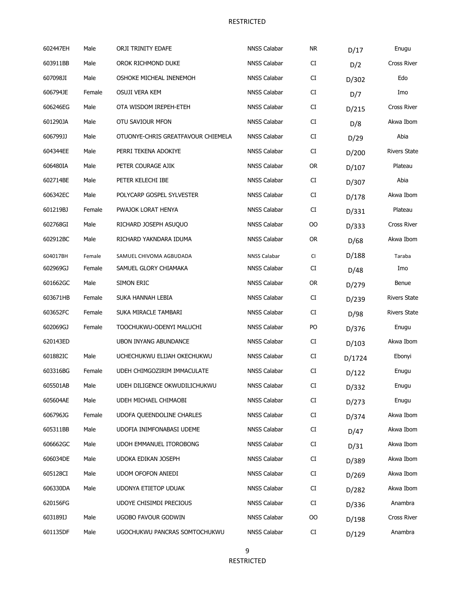| 602447EH | Male   | ORJI TRINITY EDAFE                 | <b>NNSS Calabar</b> | NR.       | D/17   | Enugu               |
|----------|--------|------------------------------------|---------------------|-----------|--------|---------------------|
| 603911BB | Male   | OROK RICHMOND DUKE                 | <b>NNSS Calabar</b> | CI        | D/2    | <b>Cross River</b>  |
| 607098JI | Male   | OSHOKE MICHEAL INENEMOH            | <b>NNSS Calabar</b> | CI        | D/302  | Edo                 |
| 606794JE | Female | OSUJI VERA KEM                     | <b>NNSS Calabar</b> | CI        | D/7    | Imo                 |
| 606246EG | Male   | OTA WISDOM IREPEH-ETEH             | <b>NNSS Calabar</b> | CI        | D/215  | <b>Cross River</b>  |
| 601290JA | Male   | OTU SAVIOUR MFON                   | <b>NNSS Calabar</b> | CI        | D/8    | Akwa Ibom           |
| 606799JJ | Male   | OTUONYE-CHRIS GREATFAVOUR CHIEMELA | <b>NNSS Calabar</b> | CI        | D/29   | Abia                |
| 604344EE | Male   | PERRI TEKENA ADOKIYE               | <b>NNSS Calabar</b> | CI        | D/200  | <b>Rivers State</b> |
| 606480IA | Male   | PETER COURAGE AJIK                 | <b>NNSS Calabar</b> | <b>OR</b> | D/107  | Plateau             |
| 602714BE | Male   | PETER KELECHI IBE                  | NNSS Calabar        | CI        | D/307  | Abia                |
| 606342EC | Male   | POLYCARP GOSPEL SYLVESTER          | <b>NNSS Calabar</b> | CI        | D/178  | Akwa Ibom           |
| 601219BJ | Female | PWAJOK LORAT HENYA                 | NNSS Calabar        | CI        | D/331  | Plateau             |
| 602768GI | Male   | RICHARD JOSEPH ASUQUO              | NNSS Calabar        | OO        | D/333  | <b>Cross River</b>  |
| 602912BC | Male   | RICHARD YAKNDARA IDUMA             | NNSS Calabar        | <b>OR</b> | D/68   | Akwa Ibom           |
| 604017BH | Female | SAMUEL CHIVOMA AGBUDADA            | <b>NNSS Calabar</b> | CI        | D/188  | Taraba              |
| 602969GJ | Female | SAMUEL GLORY CHIAMAKA              | <b>NNSS Calabar</b> | CI        | D/48   | Imo                 |
| 601662GC | Male   | SIMON ERIC                         | <b>NNSS Calabar</b> | <b>OR</b> | D/279  | Benue               |
| 603671HB | Female | SUKA HANNAH LEBIA                  | <b>NNSS Calabar</b> | CI        | D/239  | <b>Rivers State</b> |
| 603652FC | Female | SUKA MIRACLE TAMBARI               | <b>NNSS Calabar</b> | CI        | D/98   | <b>Rivers State</b> |
| 602069GJ | Female | TOOCHUKWU-ODENYI MALUCHI           | <b>NNSS Calabar</b> | PO        | D/376  | Enugu               |
| 620143ED |        | <b>UBON INYANG ABUNDANCE</b>       | <b>NNSS Calabar</b> | CI        | D/103  | Akwa Ibom           |
| 601882IC | Male   | UCHECHUKWU ELIJAH OKECHUKWU        | <b>NNSS Calabar</b> | CI        | D/1724 | Ebonyi              |
| 603316BG | Female | UDEH CHIMGOZIRIM IMMACULATE        | <b>NNSS Calabar</b> | CI        | D/122  | Enugu               |
| 605501AB | Male   | UDEH DILIGENCE OKWUDILICHUKWU      | <b>NNSS Calabar</b> | CI        | D/332  | Enugu               |
| 605604AE | Male   | UDEH MICHAEL CHIMAOBI              | <b>NNSS Calabar</b> | CI        | D/273  | Enugu               |
| 606796JG | Female | <b>UDOFA QUEENDOLINE CHARLES</b>   | <b>NNSS Calabar</b> | CI        | D/374  | Akwa Ibom           |
| 605311BB | Male   | UDOFIA INIMFONABASI UDEME          | <b>NNSS Calabar</b> | CI        | D/47   | Akwa Ibom           |
| 606662GC | Male   | UDOH EMMANUEL ITOROBONG            | <b>NNSS Calabar</b> | CI        | D/31   | Akwa Ibom           |
| 606034DE | Male   | UDOKA EDIKAN JOSEPH                | <b>NNSS Calabar</b> | CI        | D/389  | Akwa Ibom           |
| 605128CI | Male   | <b>UDOM OFOFON ANIEDI</b>          | <b>NNSS Calabar</b> | CI        | D/269  | Akwa Ibom           |
| 606330DA | Male   | UDONYA ETIETOP UDUAK               | <b>NNSS Calabar</b> | CI        | D/282  | Akwa Ibom           |
| 620156FG |        | UDOYE CHISIMDI PRECIOUS            | <b>NNSS Calabar</b> | CI        | D/336  | Anambra             |
| 603189IJ | Male   | <b>UGOBO FAVOUR GODWIN</b>         | <b>NNSS Calabar</b> | OO        | D/198  | Cross River         |
| 601135DF | Male   | UGOCHUKWU PANCRAS SOMTOCHUKWU      | NNSS Calabar        | CI        | D/129  | Anambra             |